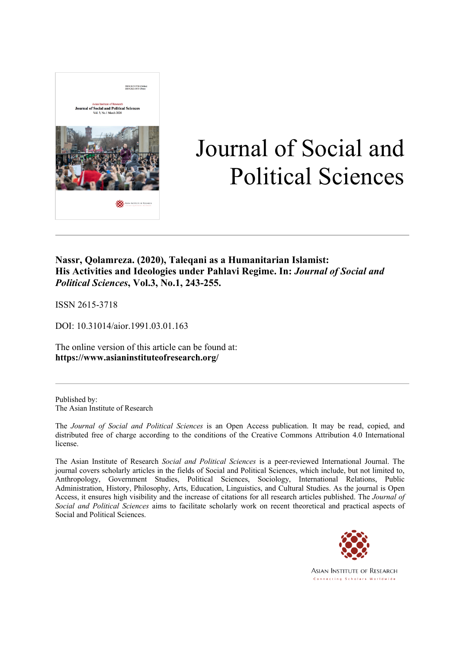

# Journal of Social and Political Sciences

### **Nassr, Qolamreza. (2020), Taleqani as a Humanitarian Islamist: His Activities and Ideologies under Pahlavi Regime. In:** *Journal of Social and Political Sciences***, Vol.3, No.1, 243-255.**

ISSN 2615-3718

DOI: 10.31014/aior.1991.03.01.163

The online version of this article can be found at: **https://www.asianinstituteofresearch.org/**

Published by: The Asian Institute of Research

The *Journal of Social and Political Sciences* is an Open Access publication. It may be read, copied, and distributed free of charge according to the conditions of the Creative Commons Attribution 4.0 International license.

The Asian Institute of Research *Social and Political Sciences* is a peer-reviewed International Journal. The journal covers scholarly articles in the fields of Social and Political Sciences, which include, but not limited to, Anthropology, Government Studies, Political Sciences, Sociology, International Relations, Public Administration, History, Philosophy, Arts, Education, Linguistics, and Cultural Studies. As the journal is Open Access, it ensures high visibility and the increase of citations for all research articles published. The *Journal of Social and Political Sciences* aims to facilitate scholarly work on recent theoretical and practical aspects of Social and Political Sciences.



**ASIAN INSTITUTE OF RESEARCH** Connecting Scholars Worldwide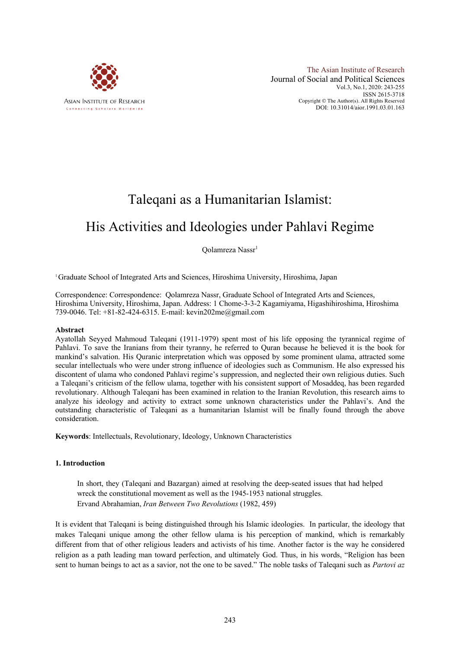

## Taleqani as a Humanitarian Islamist:

## His Activities and Ideologies under Pahlavi Regime

Qolamreza Nassr<sup>1</sup>

1 Graduate School of Integrated Arts and Sciences, Hiroshima University, Hiroshima, Japan

Correspondence: Correspondence: Qolamreza Nassr, Graduate School of Integrated Arts and Sciences, Hiroshima University, Hiroshima, Japan. Address: 1 Chome-3-3-2 Kagamiyama, Higashihiroshima, Hiroshima 739-0046. Tel: +81-82-424-6315. E-mail: kevin202me@gmail.com

#### **Abstract**

Ayatollah Seyyed Mahmoud Taleqani (1911-1979) spent most of his life opposing the tyrannical regime of Pahlavi. To save the Iranians from their tyranny, he referred to Quran because he believed it is the book for mankind's salvation. His Quranic interpretation which was opposed by some prominent ulama, attracted some secular intellectuals who were under strong influence of ideologies such as Communism. He also expressed his discontent of ulama who condoned Pahlavi regime's suppression, and neglected their own religious duties. Such a Taleqani's criticism of the fellow ulama, together with his consistent support of Mosaddeq, has been regarded revolutionary. Although Taleqani has been examined in relation to the Iranian Revolution, this research aims to analyze his ideology and activity to extract some unknown characteristics under the Pahlavi's. And the outstanding characteristic of Taleqani as a humanitarian Islamist will be finally found through the above consideration.

**Keywords**: Intellectuals, Revolutionary, Ideology, Unknown Characteristics

#### **1. Introduction**

In short, they (Taleqani and Bazargan) aimed at resolving the deep-seated issues that had helped wreck the constitutional movement as well as the 1945-1953 national struggles. Ervand Abrahamian, *Iran Between Two Revolutions* (1982, 459)

It is evident that Taleqani is being distinguished through his Islamic ideologies. In particular, the ideology that makes Taleqani unique among the other fellow ulama is his perception of mankind, which is remarkably different from that of other religious leaders and activists of his time. Another factor is the way he considered religion as a path leading man toward perfection, and ultimately God. Thus, in his words, "Religion has been sent to human beings to act as a savior, not the one to be saved." The noble tasks of Taleqani such as *Partovi az*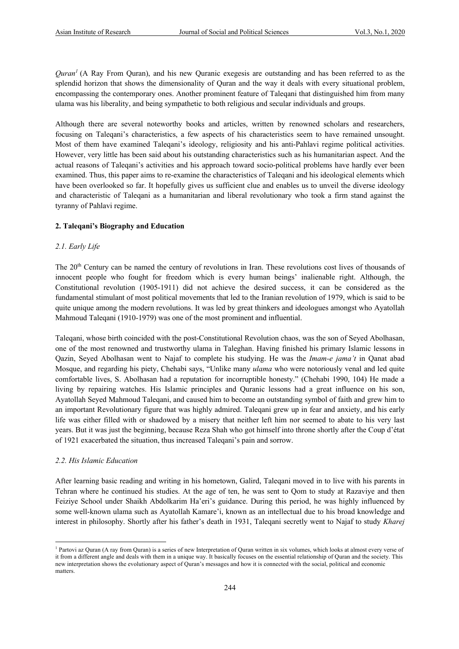*Quran1* (A Ray From Quran), and his new Quranic exegesis are outstanding and has been referred to as the splendid horizon that shows the dimensionality of Quran and the way it deals with every situational problem, encompassing the contemporary ones. Another prominent feature of Taleqani that distinguished him from many ulama was his liberality, and being sympathetic to both religious and secular individuals and groups.

Although there are several noteworthy books and articles, written by renowned scholars and researchers, focusing on Taleqani's characteristics, a few aspects of his characteristics seem to have remained unsought. Most of them have examined Taleqani's ideology, religiosity and his anti-Pahlavi regime political activities. However, very little has been said about his outstanding characteristics such as his humanitarian aspect. And the actual reasons of Taleqani's activities and his approach toward socio-political problems have hardly ever been examined. Thus, this paper aims to re-examine the characteristics of Taleqani and his ideological elements which have been overlooked so far. It hopefully gives us sufficient clue and enables us to unveil the diverse ideology and characteristic of Taleqani as a humanitarian and liberal revolutionary who took a firm stand against the tyranny of Pahlavi regime.

#### **2. Taleqani's Biography and Education**

#### *2.1. Early Life*

The 20<sup>th</sup> Century can be named the century of revolutions in Iran. These revolutions cost lives of thousands of innocent people who fought for freedom which is every human beings' inalienable right. Although, the Constitutional revolution (1905-1911) did not achieve the desired success, it can be considered as the fundamental stimulant of most political movements that led to the Iranian revolution of 1979, which is said to be quite unique among the modern revolutions. It was led by great thinkers and ideologues amongst who Ayatollah Mahmoud Taleqani (1910-1979) was one of the most prominent and influential.

Taleqani, whose birth coincided with the post-Constitutional Revolution chaos, was the son of Seyed Abolhasan, one of the most renowned and trustworthy ulama in Taleghan. Having finished his primary Islamic lessons in Qazin, Seyed Abolhasan went to Najaf to complete his studying. He was the *Imam-e jama't* in Qanat abad Mosque, and regarding his piety, Chehabi says, "Unlike many *ulama* who were notoriously venal and led quite comfortable lives, S. Abolhasan had a reputation for incorruptible honesty." (Chehabi 1990, 104) He made a living by repairing watches. His Islamic principles and Quranic lessons had a great influence on his son, Ayatollah Seyed Mahmoud Taleqani, and caused him to become an outstanding symbol of faith and grew him to an important Revolutionary figure that was highly admired. Taleqani grew up in fear and anxiety, and his early life was either filled with or shadowed by a misery that neither left him nor seemed to abate to his very last years. But it was just the beginning, because Reza Shah who got himself into throne shortly after the Coup d'état of 1921 exacerbated the situation, thus increased Taleqani's pain and sorrow.

#### *2.2. His Islamic Education*

After learning basic reading and writing in his hometown, Galird, Taleqani moved in to live with his parents in Tehran where he continued his studies. At the age of ten, he was sent to Qom to study at Razaviye and then Feiziye School under Shaikh Abdolkarim Ha'eri's guidance. During this period, he was highly influenced by some well-known ulama such as Ayatollah Kamare'i, known as an intellectual due to his broad knowledge and interest in philosophy. Shortly after his father's death in 1931, Taleqani secretly went to Najaf to study *Kharej* 

<sup>&</sup>lt;sup>1</sup> Partovi az Quran (A ray from Quran) is a series of new Interpretation of Quran written in six volumes, which looks at almost every verse of it from a different angle and deals with them in a unique way. It basically focuses on the essential relationship of Quran and the society. This new interpretation shows the evolutionary aspect of Quran's messages and how it is connected with the social, political and economic matters.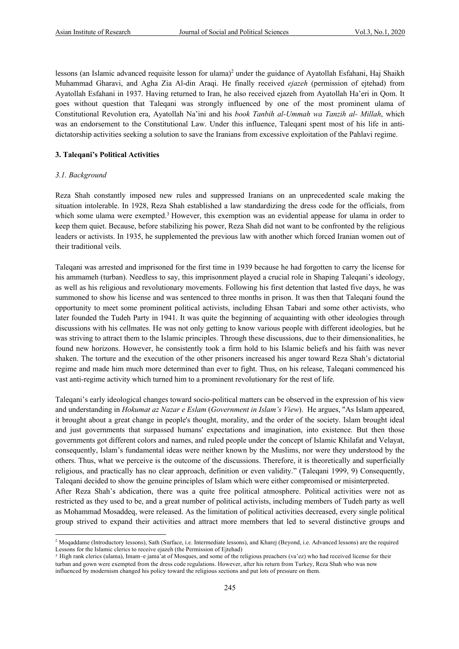lessons (an Islamic advanced requisite lesson for ulama)<sup>2</sup> under the guidance of Ayatollah Esfahani, Haj Shaikh Muhammad Gharavi, and Agha Zia Al-din Araqi. He finally received *ejazeh* (permission of ejtehad) from Ayatollah Esfahani in 1937. Having returned to Iran, he also received ejazeh from Ayatollah Ha'eri in Qom. It goes without question that Taleqani was strongly influenced by one of the most prominent ulama of Constitutional Revolution era, Ayatollah Na'ini and his *book Tanbih al-Ummah wa Tanzih al- Millah*, which was an endorsement to the Constitutional Law. Under this influence, Taleqani spent most of his life in antidictatorship activities seeking a solution to save the Iranians from excessive exploitation of the Pahlavi regime.

#### **3. Taleqani's Political Activities**

#### *3.1. Background*

Reza Shah constantly imposed new rules and suppressed Iranians on an unprecedented scale making the situation intolerable. In 1928, Reza Shah established a law standardizing the dress code for the officials, from which some ulama were exempted.<sup>3</sup> However, this exemption was an evidential appease for ulama in order to keep them quiet. Because, before stabilizing his power, Reza Shah did not want to be confronted by the religious leaders or activists. In 1935, he supplemented the previous law with another which forced Iranian women out of their traditional veils.

Taleqani was arrested and imprisoned for the first time in 1939 because he had forgotten to carry the license for his ammameh (turban). Needless to say, this imprisonment played a crucial role in Shaping Taleqani's ideology, as well as his religious and revolutionary movements. Following his first detention that lasted five days, he was summoned to show his license and was sentenced to three months in prison. It was then that Taleqani found the opportunity to meet some prominent political activists, including Ehsan Tabari and some other activists, who later founded the Tudeh Party in 1941. It was quite the beginning of acquainting with other ideologies through discussions with his cellmates. He was not only getting to know various people with different ideologies, but he was striving to attract them to the Islamic principles. Through these discussions, due to their dimensionalities, he found new horizons. However, he consistently took a firm hold to his Islamic beliefs and his faith was never shaken. The torture and the execution of the other prisoners increased his anger toward Reza Shah's dictatorial regime and made him much more determined than ever to fight. Thus, on his release, Taleqani commenced his vast anti-regime activity which turned him to a prominent revolutionary for the rest of life.

Taleqani's early ideological changes toward socio-political matters can be observed in the expression of his view and understanding in *Hokumat az Nazar e Eslam* (*Government in Islam's View*). He argues, "As Islam appeared, it brought about a great change in people's thought, morality, and the order of the society. Islam brought ideal and just governments that surpassed humans' expectations and imagination, into existence. But then those governments got different colors and names, and ruled people under the concept of Islamic Khilafat and Velayat, consequently, Islam's fundamental ideas were neither known by the Muslims, nor were they understood by the others. Thus, what we perceive is the outcome of the discussions. Therefore, it is theoretically and superficially religious, and practically has no clear approach, definition or even validity." (Taleqani 1999, 9) Consequently, Taleqani decided to show the genuine principles of Islam which were either compromised or misinterpreted.

After Reza Shah's abdication, there was a quite free political atmosphere. Political activities were not as restricted as they used to be, and a great number of political activists, including members of Tudeh party as well as Mohammad Mosaddeq, were released. As the limitation of political activities decreased, every single political group strived to expand their activities and attract more members that led to several distinctive groups and

<sup>&</sup>lt;sup>2</sup> Moqaddame (Introductory lessons), Sath (Surface, i.e. Intermediate lessons), and Kharej (Beyond, i.e. Advanced lessons) are the required Lessons for the Islamic clerics to receive ejazeh (the Permission of Ejtehad)

<sup>3</sup> High rank clerics (ulama), Imam–e jama'at of Mosques, and some of the religious preachers (va'ez) who had received license for their turban and gown were exempted from the dress code regulations. However, after his return from Turkey, Reza Shah who was now influenced by modernism changed his policy toward the religious sections and put lots of pressure on them.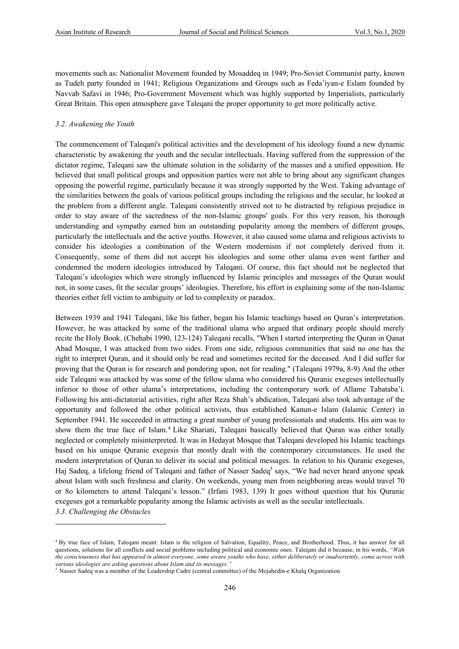movements such as: Nationalist Movement founded by Mosaddeq in 1949; Pro-Soviet Communist party, known as Tudeh party founded in 1941; Religious Organizations and Groups such as Feda'iyan-e Eslam founded by Navvab Safavi in 1946; Pro-Government Movement which was highly supported by Imperialists, particularly Great Britain. This open atmosphere gave Taleqani the proper opportunity to get more politically active.

#### *3.2. Awakening the Youth*

The commencement of Taleqani's political activities and the development of his ideology found a new dynamic characteristic by awakening the youth and the secular intellectuals. Having suffered from the suppression of the dictator regime, Taleqani saw the ultimate solution in the solidarity of the masses and a unified opposition. He believed that small political groups and opposition parties were not able to bring about any significant changes opposing the powerful regime, particularly because it was strongly supported by the West. Taking advantage of the similarities between the goals of various political groups including the religious and the secular, he looked at the problem from a different angle. Taleqani consistently strived not to be distracted by religious prejudice in order to stay aware of the sacredness of the non-Islamic groups' goals. For this very reason, his thorough understanding and sympathy earned him an outstanding popularity among the members of different groups, particularly the intellectuals and the active youths. However, it also caused some ulama and religious activists to consider his ideologies a combination of the Western modernism if not completely derived from it. Consequently, some of them did not accept his ideologies and some other ulama even went farther and condemned the modern ideologies introduced by Taleqani. Of course, this fact should not be neglected that Taleqani's ideologies which were strongly influenced by Islamic principles and messages of the Quran would not, in some cases, fit the secular groups' ideologies. Therefore, his effort in explaining some of the non-Islamic theories either fell victim to ambiguity or led to complexity or paradox.

Between 1939 and 1941 Taleqani, like his father, began his Islamic teachings based on Quran's interpretation. However, he was attacked by some of the traditional ulama who argued that ordinary people should merely recite the Holy Book. (Chehabi 1990, 123-124) Taleqani recalls, "When I started interpreting the Quran in Qanat Abad Mosque, I was attacked from two sides. From one side, religious communities that said no one has the right to interpret Quran, and it should only be read and sometimes recited for the deceased. And I did suffer for proving that the Quran is for research and pondering upon, not for reading." (Taleqani 1979a, 8-9) And the other side Taleqani was attacked by was some of the fellow ulama who considered his Quranic exegeses intellectually inferior to those of other ulama's interpretations, including the contemporary work of Allame Tabataba'i. Following his anti-dictatorial activities, right after Reza Shah's abdication, Taleqani also took advantage of the opportunity and followed the other political activists, thus established Kanun-e Islam (Islamic Center) in September 1941. He succeeded in attracting a great number of young professionals and students. His aim was to show them the true face of Islam.<sup>4</sup> Like Shariati, Taleqani basically believed that Quran was either totally neglected or completely misinterpreted. It was in Hedayat Mosque that Taleqani developed his Islamic teachings based on his unique Quranic exegesis that mostly dealt with the contemporary circumstances. He used the modern interpretation of Quran to deliver its social and political messages. In relation to his Quranic exegeses, Haj Sadeq, a lifelong friend of Taleqani and father of Nasser Sadeq<sup>5</sup> says, "We had never heard anyone speak about Islam with such freshness and clarity. On weekends, young men from neighboring areas would travel 70 or 8o kilometers to attend Taleqani's lesson." (Irfani 1983, 139) It goes without question that his Quranic exegeses got a remarkable popularity among the Islamic activists as well as the secular intellectuals.

*3.3. Challenging the Obstacles*

<sup>4</sup> By true face of Islam, Taleqani meant: Islam is the religion of Salvation, Equality, Peace, and Brotherhood. Thus, it has answer for all questions, solutions for all conflicts and social problems including political and economic ones. Taleqani did it because, in his words, *"With the consciousness that has appeared in almost everyone, some aware youths who have, either deliberately or inadvertently, come across with*  various ideologies are asking questions about Islam and its messages.

<sup>5</sup> Nasser Sadeq was a member of the Leadership Cadre (central committee) of the Mojahedin-e Khalq Organization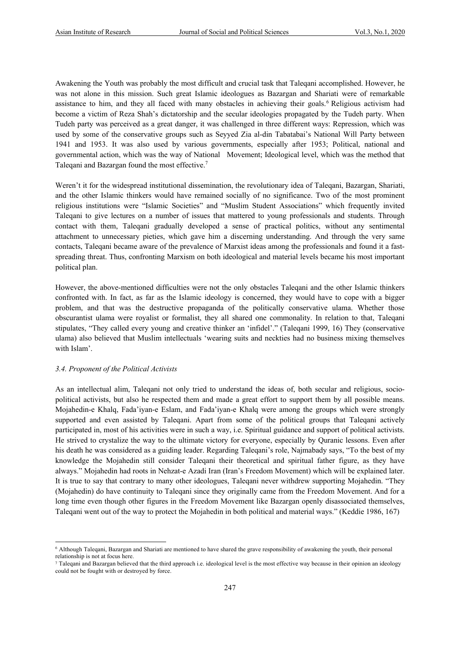Awakening the Youth was probably the most difficult and crucial task that Taleqani accomplished. However, he was not alone in this mission. Such great Islamic ideologues as Bazargan and Shariati were of remarkable assistance to him, and they all faced with many obstacles in achieving their goals.<sup>6</sup> Religious activism had become a victim of Reza Shah's dictatorship and the secular ideologies propagated by the Tudeh party. When Tudeh party was perceived as a great danger, it was challenged in three different ways: Repression, which was used by some of the conservative groups such as Seyyed Zia al-din Tabatabai's National Will Party between 1941 and 1953. It was also used by various governments, especially after 1953; Political, national and governmental action, which was the way of National Movement; Ideological level, which was the method that Taleqani and Bazargan found the most effective.<sup>7</sup>

Weren't it for the widespread institutional dissemination, the revolutionary idea of Taleqani, Bazargan, Shariati, and the other Islamic thinkers would have remained socially of no significance. Two of the most prominent religious institutions were "Islamic Societies" and "Muslim Student Associations" which frequently invited Taleqani to give lectures on a number of issues that mattered to young professionals and students. Through contact with them, Taleqani gradually developed a sense of practical politics, without any sentimental attachment to unnecessary pieties, which gave him a discerning understanding. And through the very same contacts, Taleqani became aware of the prevalence of Marxist ideas among the professionals and found it a fastspreading threat. Thus, confronting Marxism on both ideological and material levels became his most important political plan.

However, the above-mentioned difficulties were not the only obstacles Taleqani and the other Islamic thinkers confronted with. In fact, as far as the Islamic ideology is concerned, they would have to cope with a bigger problem, and that was the destructive propaganda of the politically conservative ulama. Whether those obscurantist ulama were royalist or formalist, they all shared one commonality. In relation to that, Taleqani stipulates, "They called every young and creative thinker an 'infidel'." (Taleqani 1999, 16) They (conservative ulama) also believed that Muslim intellectuals 'wearing suits and neckties had no business mixing themselves with Islam'.

#### *3.4. Proponent of the Political Activists*

As an intellectual alim, Taleqani not only tried to understand the ideas of, both secular and religious, sociopolitical activists, but also he respected them and made a great effort to support them by all possible means. Mojahedin-e Khalq, Fada'iyan-e Eslam, and Fada'iyan-e Khalq were among the groups which were strongly supported and even assisted by Taleqani. Apart from some of the political groups that Taleqani actively participated in, most of his activities were in such a way, i.e. Spiritual guidance and support of political activists. He strived to crystalize the way to the ultimate victory for everyone, especially by Quranic lessons. Even after his death he was considered as a guiding leader. Regarding Taleqani's role, Najmabady says, "To the best of my knowledge the Mojahedin still consider Taleqani their theoretical and spiritual father figure, as they have always." Mojahedin had roots in Nehzat-e Azadi Iran (Iran's Freedom Movement) which will be explained later. It is true to say that contrary to many other ideologues, Taleqani never withdrew supporting Mojahedin. "They (Mojahedin) do have continuity to Taleqani since they originally came from the Freedom Movement. And for a long time even though other figures in the Freedom Movement like Bazargan openly disassociated themselves, Taleqani went out of the way to protect the Mojahedin in both political and material ways." (Keddie 1986, 167)

<sup>6</sup> Although Taleqani, Bazargan and Shariati are mentioned to have shared the grave responsibility of awakening the youth, their personal relationship is not at focus here.

<sup>7</sup> Taleqani and Bazargan believed that the third approach i.e. ideological level is the most effective way because in their opinion an ideology could not be fought with or destroyed by force.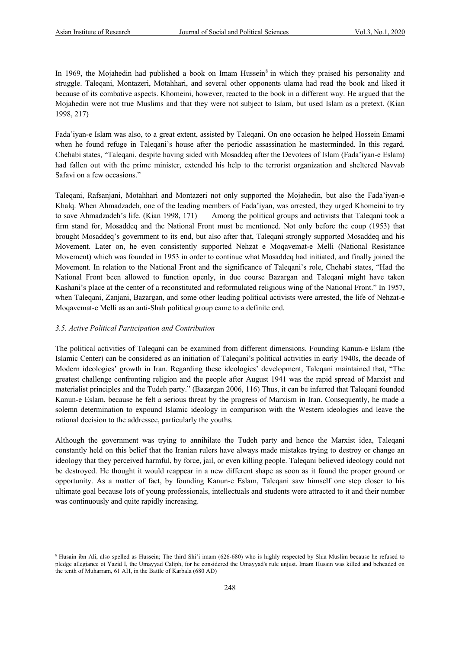In 1969, the Mojahedin had published a book on Imam Hussein<sup>8</sup> in which they praised his personality and struggle. Taleqani, Montazeri, Motahhari, and several other opponents ulama had read the book and liked it because of its combative aspects. Khomeini, however, reacted to the book in a different way. He argued that the Mojahedin were not true Muslims and that they were not subject to Islam, but used Islam as a pretext. (Kian 1998, 217)

Fada'iyan-e Islam was also, to a great extent, assisted by Taleqani. On one occasion he helped Hossein Emami when he found refuge in Taleqani's house after the periodic assassination he masterminded. In this regard*,*  Chehabi states, "Taleqani, despite having sided with Mosaddeq after the Devotees of Islam (Fada'iyan-e Eslam) had fallen out with the prime minister, extended his help to the terrorist organization and sheltered Navvab Safavi on a few occasions."

Taleqani, Rafsanjani, Motahhari and Montazeri not only supported the Mojahedin, but also the Fada'iyan-e Khalq. When Ahmadzadeh, one of the leading members of Fada'iyan, was arrested, they urged Khomeini to try to save Ahmadzadeh's life. (Kian 1998, 171) Among the political groups and activists that Taleqani took a firm stand for, Mosaddeq and the National Front must be mentioned. Not only before the coup (1953) that brought Mosaddeq's government to its end, but also after that, Taleqani strongly supported Mosaddeq and his Movement. Later on, he even consistently supported Nehzat e Moqavemat-e Melli (National Resistance Movement) which was founded in 1953 in order to continue what Mosaddeq had initiated, and finally joined the Movement. In relation to the National Front and the significance of Taleqani's role, Chehabi states, "Had the National Front been allowed to function openly, in due course Bazargan and Taleqani might have taken Kashani's place at the center of a reconstituted and reformulated religious wing of the National Front." In 1957, when Taleqani, Zanjani, Bazargan, and some other leading political activists were arrested, the life of Nehzat-e Moqavemat-e Melli as an anti-Shah political group came to a definite end.

#### *3.5. Active Political Participation and Contribution*

The political activities of Taleqani can be examined from different dimensions. Founding Kanun-e Eslam (the Islamic Center) can be considered as an initiation of Taleqani's political activities in early 1940s, the decade of Modern ideologies' growth in Iran. Regarding these ideologies' development, Taleqani maintained that, "The greatest challenge confronting religion and the people after August 1941 was the rapid spread of Marxist and materialist principles and the Tudeh party." (Bazargan 2006, 116) Thus, it can be inferred that Taleqani founded Kanun-e Eslam, because he felt a serious threat by the progress of Marxism in Iran. Consequently, he made a solemn determination to expound Islamic ideology in comparison with the Western ideologies and leave the rational decision to the addressee, particularly the youths.

Although the government was trying to annihilate the Tudeh party and hence the Marxist idea, Taleqani constantly held on this belief that the Iranian rulers have always made mistakes trying to destroy or change an ideology that they perceived harmful, by force, jail, or even killing people. Taleqani believed ideology could not be destroyed. He thought it would reappear in a new different shape as soon as it found the proper ground or opportunity. As a matter of fact, by founding Kanun-e Eslam, Taleqani saw himself one step closer to his ultimate goal because lots of young professionals, intellectuals and students were attracted to it and their number was continuously and quite rapidly increasing.

<sup>8</sup> Husain ibn Ali, also spelled as Hussein; The third Shi'i imam (626-680) who is highly respected by Shia Muslim because he refused to pledge allegiance ot Yazid I, the Umayyad Caliph, for he considered the Umayyad's rule unjust. Imam Husain was killed and beheaded on the tenth of Muharram, 61 AH, in the Battle of Karbala (680 AD)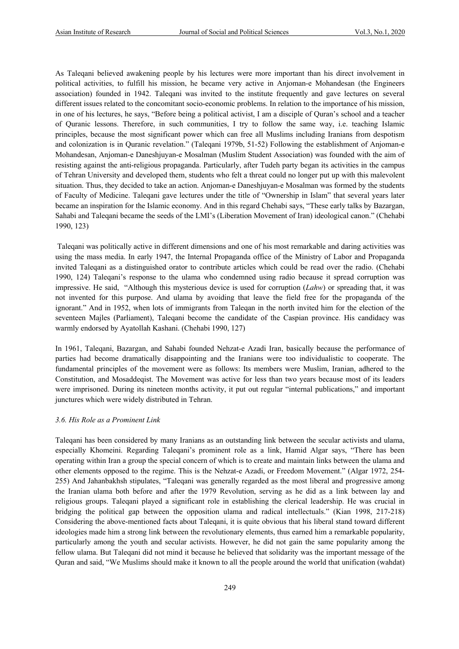As Taleqani believed awakening people by his lectures were more important than his direct involvement in political activities, to fulfill his mission, he became very active in Anjoman-e Mohandesan (the Engineers association) founded in 1942. Taleqani was invited to the institute frequently and gave lectures on several different issues related to the concomitant socio-economic problems. In relation to the importance of his mission, in one of his lectures, he says, "Before being a political activist, I am a disciple of Quran's school and a teacher of Quranic lessons. Therefore, in such communities, I try to follow the same way, i.e. teaching Islamic principles, because the most significant power which can free all Muslims including Iranians from despotism and colonization is in Quranic revelation." (Taleqani 1979b, 51-52) Following the establishment of Anjoman-e Mohandesan, Anjoman-e Daneshjuyan-e Mosalman (Muslim Student Association) was founded with the aim of resisting against the anti-religious propaganda. Particularly, after Tudeh party began its activities in the campus of Tehran University and developed them, students who felt a threat could no longer put up with this malevolent situation. Thus, they decided to take an action. Anjoman-e Daneshjuyan-e Mosalman was formed by the students of Faculty of Medicine. Taleqani gave lectures under the title of "Ownership in Islam" that several years later became an inspiration for the Islamic economy. And in this regard Chehabi says, "These early talks by Bazargan, Sahabi and Taleqani became the seeds of the LMI's (Liberation Movement of Iran) ideological canon." (Chehabi 1990, 123)

Taleqani was politically active in different dimensions and one of his most remarkable and daring activities was using the mass media. In early 1947, the Internal Propaganda office of the Ministry of Labor and Propaganda invited Taleqani as a distinguished orator to contribute articles which could be read over the radio. (Chehabi 1990, 124) Taleqani's response to the ulama who condemned using radio because it spread corruption was impressive. He said, "Although this mysterious device is used for corruption (*Lahw*) or spreading that, it was not invented for this purpose. And ulama by avoiding that leave the field free for the propaganda of the ignorant." And in 1952, when lots of immigrants from Taleqan in the north invited him for the election of the seventeen Majles (Parliament), Taleqani become the candidate of the Caspian province. His candidacy was warmly endorsed by Ayatollah Kashani. (Chehabi 1990, 127)

In 1961, Taleqani, Bazargan, and Sahabi founded Nehzat-e Azadi Iran, basically because the performance of parties had become dramatically disappointing and the Iranians were too individualistic to cooperate. The fundamental principles of the movement were as follows: Its members were Muslim, Iranian, adhered to the Constitution, and Mosaddeqist. The Movement was active for less than two years because most of its leaders were imprisoned. During its nineteen months activity, it put out regular "internal publications," and important junctures which were widely distributed in Tehran.

#### *3.6. His Role as a Prominent Link*

Taleqani has been considered by many Iranians as an outstanding link between the secular activists and ulama, especially Khomeini. Regarding Taleqani's prominent role as a link, Hamid Algar says, "There has been operating within Iran a group the special concern of which is to create and maintain links between the ulama and other elements opposed to the regime. This is the Nehzat-e Azadi, or Freedom Movement." (Algar 1972, 254- 255) And Jahanbakhsh stipulates, "Taleqani was generally regarded as the most liberal and progressive among the Iranian ulama both before and after the 1979 Revolution, serving as he did as a link between lay and religious groups. Taleqani played a significant role in establishing the clerical leadership. He was crucial in bridging the political gap between the opposition ulama and radical intellectuals." (Kian 1998, 217-218) Considering the above-mentioned facts about Taleqani, it is quite obvious that his liberal stand toward different ideologies made him a strong link between the revolutionary elements, thus earned him a remarkable popularity, particularly among the youth and secular activists. However, he did not gain the same popularity among the fellow ulama. But Taleqani did not mind it because he believed that solidarity was the important message of the Quran and said, "We Muslims should make it known to all the people around the world that unification (wahdat)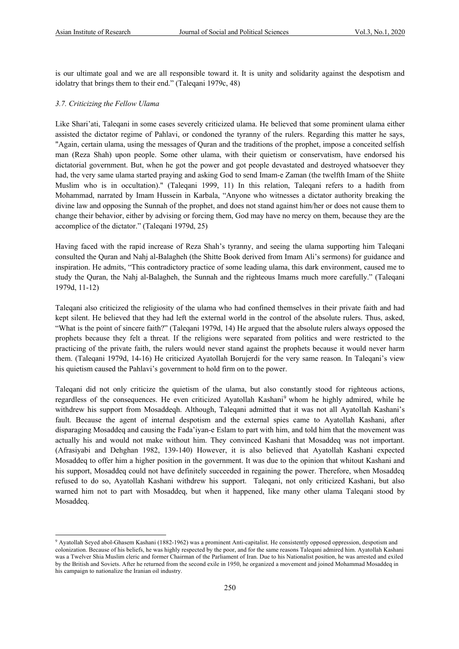is our ultimate goal and we are all responsible toward it. It is unity and solidarity against the despotism and idolatry that brings them to their end." (Taleqani 1979c, 48)

#### *3.7. Criticizing the Fellow Ulama*

Like Shari'ati, Taleqani in some cases severely criticized ulama. He believed that some prominent ulama either assisted the dictator regime of Pahlavi, or condoned the tyranny of the rulers. Regarding this matter he says, "Again, certain ulama, using the messages of Quran and the traditions of the prophet, impose a conceited selfish man (Reza Shah) upon people. Some other ulama, with their quietism or conservatism, have endorsed his dictatorial government. But, when he got the power and got people devastated and destroyed whatsoever they had, the very same ulama started praying and asking God to send Imam-e Zaman (the twelfth Imam of the Shiite Muslim who is in occultation)." (Taleqani 1999, 11) In this relation, Taleqani refers to a hadith from Mohammad, narrated by Imam Hussein in Karbala, "Anyone who witnesses a dictator authority breaking the divine law and opposing the Sunnah of the prophet, and does not stand against him/her or does not cause them to change their behavior, either by advising or forcing them, God may have no mercy on them, because they are the accomplice of the dictator." (Taleqani 1979d, 25)

Having faced with the rapid increase of Reza Shah's tyranny, and seeing the ulama supporting him Taleqani consulted the Quran and Nahj al-Balagheh (the Shitte Book derived from Imam Ali's sermons) for guidance and inspiration. He admits, "This contradictory practice of some leading ulama, this dark environment, caused me to study the Quran, the Nahj al-Balagheh, the Sunnah and the righteous Imams much more carefully." (Taleqani 1979d, 11-12)

Taleqani also criticized the religiosity of the ulama who had confined themselves in their private faith and had kept silent. He believed that they had left the external world in the control of the absolute rulers. Thus, asked, "What is the point of sincere faith?" (Taleqani 1979d, 14) He argued that the absolute rulers always opposed the prophets because they felt a threat. If the religions were separated from politics and were restricted to the practicing of the private faith, the rulers would never stand against the prophets because it would never harm them. (Taleqani 1979d, 14-16) He criticized Ayatollah Borujerdi for the very same reason. In Taleqani's view his quietism caused the Pahlavi's government to hold firm on to the power.

Taleqani did not only criticize the quietism of the ulama, but also constantly stood for righteous actions, regardless of the consequences. He even criticized Ayatollah Kashani<sup>9</sup> whom he highly admired, while he withdrew his support from Mosaddeqh. Although, Taleqani admitted that it was not all Ayatollah Kashani's fault. Because the agent of internal despotism and the external spies came to Ayatollah Kashani, after disparaging Mosaddeq and causing the Fada'iyan-e Eslam to part with him, and told him that the movement was actually his and would not make without him. They convinced Kashani that Mosaddeq was not important. (Afrasiyabi and Dehghan 1982, 139-140) However, it is also believed that Ayatollah Kashani expected Mosaddeq to offer him a higher position in the government. It was due to the opinion that whitout Kashani and his support, Mosaddeq could not have definitely succeeded in regaining the power. Therefore, when Mosaddeq refused to do so, Ayatollah Kashani withdrew his support. Taleqani, not only criticized Kashani, but also warned him not to part with Mosaddeq, but when it happened, like many other ulama Taleqani stood by Mosaddeq.

<sup>9</sup> Ayatollah Seyed abol-Ghasem Kashani (1882-1962) was a prominent Anti-capitalist. He consistently opposed oppression, despotism and colonization. Because of his beliefs, he was highly respected by the poor, and for the same reasons Taleqani admired him. Ayatollah Kashani was a Twelver Shia Muslim cleric and former Chairman of the Parliament of Iran. Due to his Nationalist position, he was arrested and exiled by the British and Soviets. After he returned from the second exile in 1950, he organized a movement and joined Mohammad Mosaddeq in his campaign to nationalize the Iranian oil industry.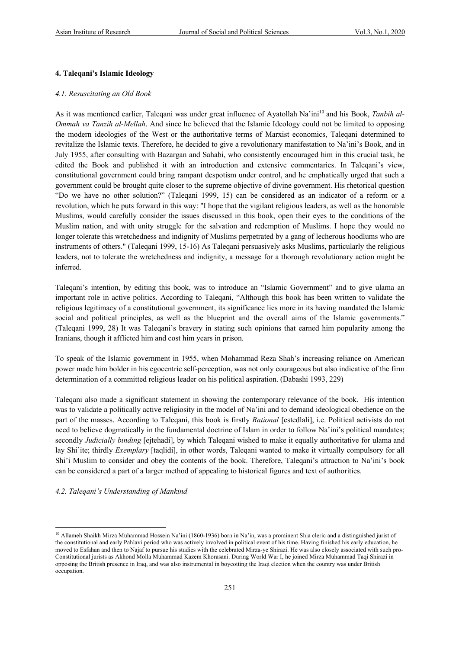#### **4. Taleqani's Islamic Ideology**

#### *4.1. Resuscitating an Old Book*

As it was mentioned earlier, Taleqani was under great influence of Ayatollah Na'ini<sup>10</sup> and his Book, Tanbih al-*Ommah va Tanzih al-Mellah*. And since he believed that the Islamic Ideology could not be limited to opposing the modern ideologies of the West or the authoritative terms of Marxist economics, Taleqani determined to revitalize the Islamic texts. Therefore, he decided to give a revolutionary manifestation to Na'ini's Book, and in July 1955, after consulting with Bazargan and Sahabi, who consistently encouraged him in this crucial task, he edited the Book and published it with an introduction and extensive commentaries. In Taleqani's view, constitutional government could bring rampant despotism under control, and he emphatically urged that such a government could be brought quite closer to the supreme objective of divine government. His rhetorical question "Do we have no other solution?" (Taleqani 1999, 15) can be considered as an indicator of a reform or a revolution, which he puts forward in this way: "I hope that the vigilant religious leaders, as well as the honorable Muslims, would carefully consider the issues discussed in this book, open their eyes to the conditions of the Muslim nation, and with unity struggle for the salvation and redemption of Muslims. I hope they would no longer tolerate this wretchedness and indignity of Muslims perpetrated by a gang of lecherous hoodlums who are instruments of others." (Taleqani 1999, 15-16) As Taleqani persuasively asks Muslims, particularly the religious leaders, not to tolerate the wretchedness and indignity, a message for a thorough revolutionary action might be inferred.

Taleqani's intention, by editing this book, was to introduce an "Islamic Government" and to give ulama an important role in active politics. According to Taleqani, "Although this book has been written to validate the religious legitimacy of a constitutional government, its significance lies more in its having mandated the Islamic social and political principles, as well as the blueprint and the overall aims of the Islamic governments." (Taleqani 1999, 28) It was Taleqani's bravery in stating such opinions that earned him popularity among the Iranians, though it afflicted him and cost him years in prison.

To speak of the Islamic government in 1955, when Mohammad Reza Shah's increasing reliance on American power made him bolder in his egocentric self-perception, was not only courageous but also indicative of the firm determination of a committed religious leader on his political aspiration. (Dabashi 1993, 229)

Taleqani also made a significant statement in showing the contemporary relevance of the book. His intention was to validate a politically active religiosity in the model of Na'ini and to demand ideological obedience on the part of the masses. According to Taleqani, this book is firstly *Rational* [estedlali], i.e. Political activists do not need to believe dogmatically in the fundamental doctrine of Islam in order to follow Na'ini's political mandates; secondly *Judicially binding* [ejtehadi], by which Taleqani wished to make it equally authoritative for ulama and lay Shi'ite; thirdly *Exemplary* [taqlidi], in other words, Taleqani wanted to make it virtually compulsory for all Shi'i Muslim to consider and obey the contents of the book. Therefore, Taleqani's attraction to Na'ini's book can be considered a part of a larger method of appealing to historical figures and text of authorities.

#### *4.2. Taleqani's Understanding of Mankind*

<sup>&</sup>lt;sup>10</sup> Allameh Shaikh Mirza Muhammad Hossein Na'ini (1860-1936) born in Na'in, was a prominent Shia cleric and a distinguished jurist of the constitutional and early Pahlavi period who was actively involved in political event of his time. Having finished his early education, he moved to Esfahan and then to Najaf to pursue his studies with the celebrated Mirza-ye Shirazi. He was also closely associated with such pro-Constitutional jurists as Akhond Molla Muhammad Kazem Khorasani. During World War I, he joined Mirza Muhammad Taqi Shirazi in opposing the British presence in Iraq, and was also instrumental in boycotting the Iraqi election when the country was under British occupation.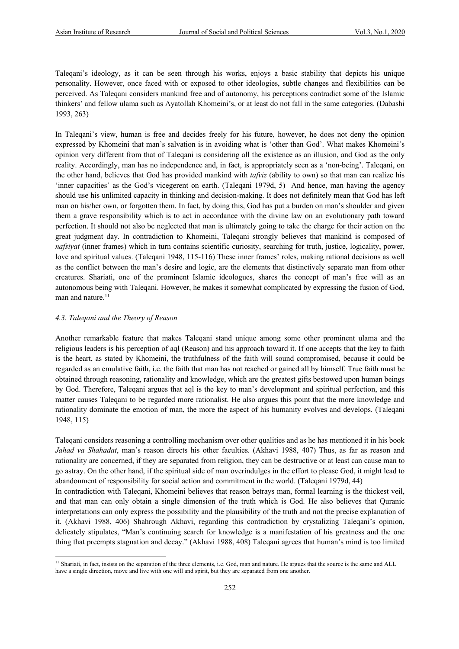Taleqani's ideology, as it can be seen through his works, enjoys a basic stability that depicts his unique personality. However, once faced with or exposed to other ideologies, subtle changes and flexibilities can be perceived. As Taleqani considers mankind free and of autonomy, his perceptions contradict some of the Islamic thinkers' and fellow ulama such as Ayatollah Khomeini's, or at least do not fall in the same categories. (Dabashi 1993, 263)

In Taleqani's view, human is free and decides freely for his future, however, he does not deny the opinion expressed by Khomeini that man's salvation is in avoiding what is 'other than God'. What makes Khomeini's opinion very different from that of Taleqani is considering all the existence as an illusion, and God as the only reality. Accordingly, man has no independence and, in fact, is appropriately seen as a 'non-being'. Taleqani, on the other hand, believes that God has provided mankind with *tafviz* (ability to own) so that man can realize his 'inner capacities' as the God's vicegerent on earth. (Taleqani 1979d, 5) And hence, man having the agency should use his unlimited capacity in thinking and decision-making. It does not definitely mean that God has left man on his/her own, or forgotten them. In fact, by doing this, God has put a burden on man's shoulder and given them a grave responsibility which is to act in accordance with the divine law on an evolutionary path toward perfection. It should not also be neglected that man is ultimately going to take the charge for their action on the great judgment day. In contradiction to Khomeini, Taleqani strongly believes that mankind is composed of *nafsiyat* (inner frames) which in turn contains scientific curiosity, searching for truth, justice, logicality, power, love and spiritual values. (Taleqani 1948, 115-116) These inner frames' roles, making rational decisions as well as the conflict between the man's desire and logic, are the elements that distinctively separate man from other creatures. Shariati, one of the prominent Islamic ideologues, shares the concept of man's free will as an autonomous being with Taleqani. However, he makes it somewhat complicated by expressing the fusion of God, man and nature.<sup>11</sup>

#### *4.3. Taleqani and the Theory of Reason*

Another remarkable feature that makes Taleqani stand unique among some other prominent ulama and the religious leaders is his perception of aql (Reason) and his approach toward it. If one accepts that the key to faith is the heart, as stated by Khomeini, the truthfulness of the faith will sound compromised, because it could be regarded as an emulative faith, i.e. the faith that man has not reached or gained all by himself. True faith must be obtained through reasoning, rationality and knowledge, which are the greatest gifts bestowed upon human beings by God. Therefore, Taleqani argues that aql is the key to man's development and spiritual perfection, and this matter causes Taleqani to be regarded more rationalist. He also argues this point that the more knowledge and rationality dominate the emotion of man, the more the aspect of his humanity evolves and develops. (Taleqani 1948, 115)

Taleqani considers reasoning a controlling mechanism over other qualities and as he has mentioned it in his book *Jahad va Shahadat*, man's reason directs his other faculties. (Akhavi 1988, 407) Thus, as far as reason and rationality are concerned, if they are separated from religion, they can be destructive or at least can cause man to go astray. On the other hand, if the spiritual side of man overindulges in the effort to please God, it might lead to abandonment of responsibility for social action and commitment in the world. (Taleqani 1979d, 44)

In contradiction with Taleqani, Khomeini believes that reason betrays man, formal learning is the thickest veil, and that man can only obtain a single dimension of the truth which is God. He also believes that Quranic interpretations can only express the possibility and the plausibility of the truth and not the precise explanation of it. (Akhavi 1988, 406) Shahrough Akhavi, regarding this contradiction by crystalizing Taleqani's opinion, delicately stipulates, "Man's continuing search for knowledge is a manifestation of his greatness and the one thing that preempts stagnation and decay." (Akhavi 1988, 408) Taleqani agrees that human's mind is too limited

<sup>&</sup>lt;sup>11</sup> Shariati, in fact, insists on the separation of the three elements, i.e. God, man and nature. He argues that the source is the same and ALL have a single direction, move and live with one will and spirit, but they are separated from one another.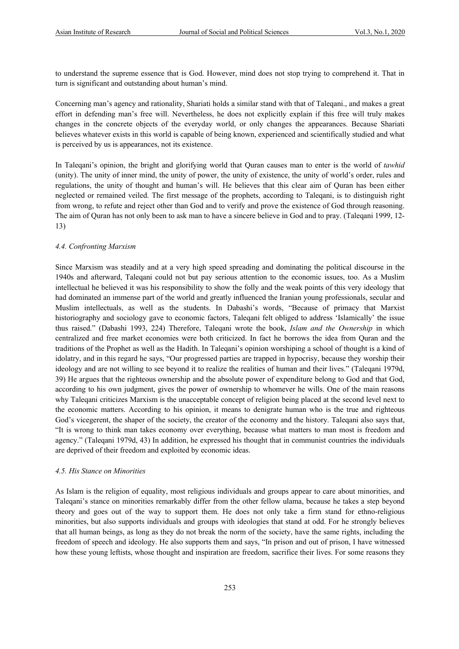to understand the supreme essence that is God. However, mind does not stop trying to comprehend it. That in turn is significant and outstanding about human's mind.

Concerning man's agency and rationality, Shariati holds a similar stand with that of Taleqani., and makes a great effort in defending man's free will. Nevertheless, he does not explicitly explain if this free will truly makes changes in the concrete objects of the everyday world, or only changes the appearances. Because Shariati believes whatever exists in this world is capable of being known, experienced and scientifically studied and what is perceived by us is appearances, not its existence.

In Taleqani's opinion, the bright and glorifying world that Quran causes man to enter is the world of *tawhid* (unity). The unity of inner mind, the unity of power, the unity of existence, the unity of world's order, rules and regulations, the unity of thought and human's will. He believes that this clear aim of Quran has been either neglected or remained veiled. The first message of the prophets, according to Taleqani, is to distinguish right from wrong, to refute and reject other than God and to verify and prove the existence of God through reasoning. The aim of Quran has not only been to ask man to have a sincere believe in God and to pray. (Taleqani 1999, 12- 13)

#### *4.4. Confronting Marxism*

Since Marxism was steadily and at a very high speed spreading and dominating the political discourse in the 1940s and afterward, Taleqani could not but pay serious attention to the economic issues, too. As a Muslim intellectual he believed it was his responsibility to show the folly and the weak points of this very ideology that had dominated an immense part of the world and greatly influenced the Iranian young professionals, secular and Muslim intellectuals, as well as the students. In Dabashi's words, "Because of primacy that Marxist historiography and sociology gave to economic factors, Taleqani felt obliged to address 'Islamically' the issue thus raised." (Dabashi 1993, 224) Therefore, Taleqani wrote the book, *Islam and the Ownership* in which centralized and free market economies were both criticized. In fact he borrows the idea from Quran and the traditions of the Prophet as well as the Hadith. In Taleqani's opinion worshiping a school of thought is a kind of idolatry, and in this regard he says, "Our progressed parties are trapped in hypocrisy, because they worship their ideology and are not willing to see beyond it to realize the realities of human and their lives." (Taleqani 1979d, 39) He argues that the righteous ownership and the absolute power of expenditure belong to God and that God, according to his own judgment, gives the power of ownership to whomever he wills. One of the main reasons why Taleqani criticizes Marxism is the unacceptable concept of religion being placed at the second level next to the economic matters. According to his opinion, it means to denigrate human who is the true and righteous God's vicegerent, the shaper of the society, the creator of the economy and the history. Taleqani also says that, "It is wrong to think man takes economy over everything, because what matters to man most is freedom and agency." (Taleqani 1979d, 43) In addition, he expressed his thought that in communist countries the individuals are deprived of their freedom and exploited by economic ideas.

#### *4.5. His Stance on Minorities*

As Islam is the religion of equality, most religious individuals and groups appear to care about minorities, and Taleqani's stance on minorities remarkably differ from the other fellow ulama, because he takes a step beyond theory and goes out of the way to support them. He does not only take a firm stand for ethno-religious minorities, but also supports individuals and groups with ideologies that stand at odd. For he strongly believes that all human beings, as long as they do not break the norm of the society, have the same rights, including the freedom of speech and ideology. He also supports them and says, "In prison and out of prison, I have witnessed how these young leftists, whose thought and inspiration are freedom, sacrifice their lives. For some reasons they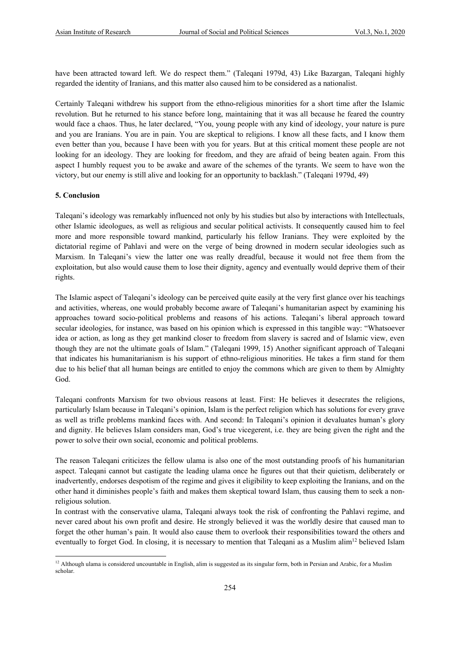have been attracted toward left. We do respect them." (Taleqani 1979d, 43) Like Bazargan, Taleqani highly regarded the identity of Iranians, and this matter also caused him to be considered as a nationalist.

Certainly Taleqani withdrew his support from the ethno-religious minorities for a short time after the Islamic revolution. But he returned to his stance before long, maintaining that it was all because he feared the country would face a chaos. Thus, he later declared, "You, young people with any kind of ideology, your nature is pure and you are Iranians. You are in pain. You are skeptical to religions. I know all these facts, and I know them even better than you, because I have been with you for years. But at this critical moment these people are not looking for an ideology. They are looking for freedom, and they are afraid of being beaten again. From this aspect I humbly request you to be awake and aware of the schemes of the tyrants. We seem to have won the victory, but our enemy is still alive and looking for an opportunity to backlash." (Taleqani 1979d, 49)

#### **5. Conclusion**

Taleqani's ideology was remarkably influenced not only by his studies but also by interactions with Intellectuals, other Islamic ideologues, as well as religious and secular political activists. It consequently caused him to feel more and more responsible toward mankind, particularly his fellow Iranians. They were exploited by the dictatorial regime of Pahlavi and were on the verge of being drowned in modern secular ideologies such as Marxism. In Taleqani's view the latter one was really dreadful, because it would not free them from the exploitation, but also would cause them to lose their dignity, agency and eventually would deprive them of their rights.

The Islamic aspect of Taleqani's ideology can be perceived quite easily at the very first glance over his teachings and activities, whereas, one would probably become aware of Taleqani's humanitarian aspect by examining his approaches toward socio-political problems and reasons of his actions. Taleqani's liberal approach toward secular ideologies, for instance, was based on his opinion which is expressed in this tangible way: "Whatsoever idea or action, as long as they get mankind closer to freedom from slavery is sacred and of Islamic view, even though they are not the ultimate goals of Islam." (Taleqani 1999, 15) Another significant approach of Taleqani that indicates his humanitarianism is his support of ethno-religious minorities. He takes a firm stand for them due to his belief that all human beings are entitled to enjoy the commons which are given to them by Almighty God.

Taleqani confronts Marxism for two obvious reasons at least. First: He believes it desecrates the religions, particularly Islam because in Taleqani's opinion, Islam is the perfect religion which has solutions for every grave as well as trifle problems mankind faces with. And second: In Taleqani's opinion it devaluates human's glory and dignity. He believes Islam considers man, God's true vicegerent, i.e. they are being given the right and the power to solve their own social, economic and political problems.

The reason Taleqani criticizes the fellow ulama is also one of the most outstanding proofs of his humanitarian aspect. Taleqani cannot but castigate the leading ulama once he figures out that their quietism, deliberately or inadvertently, endorses despotism of the regime and gives it eligibility to keep exploiting the Iranians, and on the other hand it diminishes people's faith and makes them skeptical toward Islam, thus causing them to seek a nonreligious solution.

In contrast with the conservative ulama, Taleqani always took the risk of confronting the Pahlavi regime, and never cared about his own profit and desire. He strongly believed it was the worldly desire that caused man to forget the other human's pain. It would also cause them to overlook their responsibilities toward the others and eventually to forget God. In closing, it is necessary to mention that Taleqani as a Muslim alim<sup>12</sup> believed Islam

<sup>&</sup>lt;sup>12</sup> Although ulama is considered uncountable in English, alim is suggested as its singular form, both in Persian and Arabic, for a Muslim scholar.